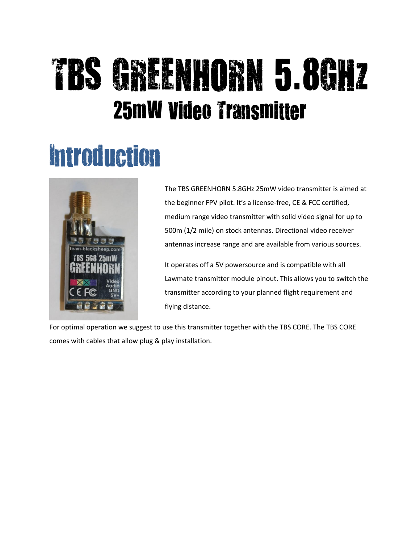# TBS GREENHORN 5.8GHz 25mW Video Transmitter

#### Introduction



The TBS GREENHORN 5.8GHz 25mW video transmitter is aimed at the beginner FPV pilot. It's a license-free, CE & FCC certified, medium range video transmitter with solid video signal for up to 500m (1/2 mile) on stock antennas. Directional video receiver antennas increase range and are available from various sources.

It operates off a 5V powersource and is compatible with all Lawmate transmitter module pinout. This allows you to switch the transmitter according to your planned flight requirement and flying distance.

For optimal operation we suggest to use this transmitter together with the TBS CORE. The TBS CORE comes with cables that allow plug & play installation.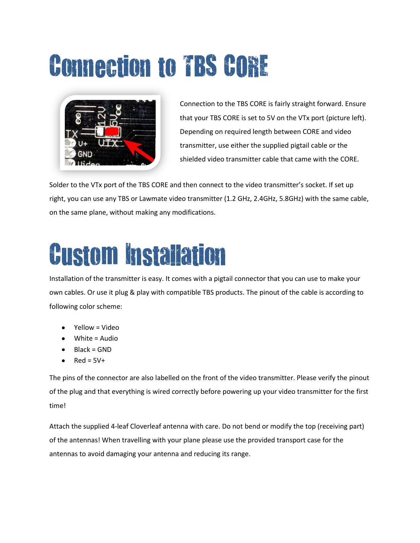## Connection to TBS CORE



Connection to the TBS CORE is fairly straight forward. Ensure that your TBS CORE is set to 5V on the VTx port (picture left). Depending on required length between CORE and video transmitter, use either the supplied pigtail cable or the shielded video transmitter cable that came with the CORE.

Solder to the VTx port of the TBS CORE and then connect to the video transmitter's socket. If set up right, you can use any TBS or Lawmate video transmitter (1.2 GHz, 2.4GHz, 5.8GHz) with the same cable, on the same plane, without making any modifications.

#### Custom Installation

Installation of the transmitter is easy. It comes with a pigtail connector that you can use to make your own cables. Or use it plug & play with compatible TBS products. The pinout of the cable is according to following color scheme:

- Yellow = Video
- White = Audio
- Black = GND
- $Red = 5V +$

The pins of the connector are also labelled on the front of the video transmitter. Please verify the pinout of the plug and that everything is wired correctly before powering up your video transmitter for the first time!

Attach the supplied 4-leaf Cloverleaf antenna with care. Do not bend or modify the top (receiving part) of the antennas! When travelling with your plane please use the provided transport case for the antennas to avoid damaging your antenna and reducing its range.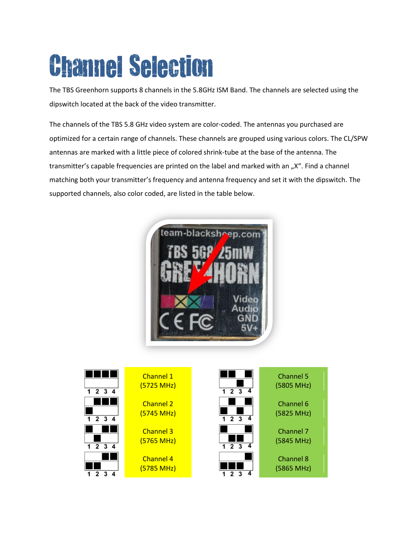## Channel Selection

The TBS Greenhorn supports 8 channels in the 5.8GHz ISM Band. The channels are selected using the dipswitch located at the back of the video transmitter.

The channels of the TBS 5.8 GHz video system are color-coded. The antennas you purchased are optimized for a certain range of channels. These channels are grouped using various colors. The CL/SPW antennas are marked with a little piece of colored shrink-tube at the base of the antenna. The transmitter's capable frequencies are printed on the label and marked with an "X". Find a channel matching both your transmitter's frequency and antenna frequency and set it with the dipswitch. The supported channels, also color coded, are listed in the table below.